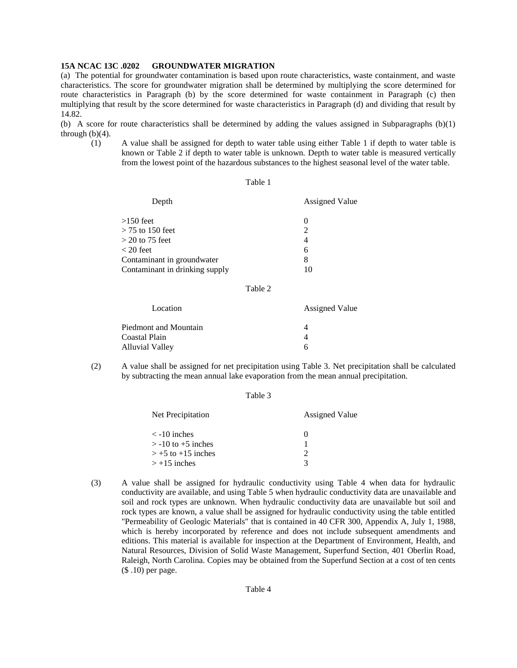### **15A NCAC 13C .0202 GROUNDWATER MIGRATION**

(a) The potential for groundwater contamination is based upon route characteristics, waste containment, and waste characteristics. The score for groundwater migration shall be determined by multiplying the score determined for route characteristics in Paragraph (b) by the score determined for waste containment in Paragraph (c) then multiplying that result by the score determined for waste characteristics in Paragraph (d) and dividing that result by 14.82.

(b) A score for route characteristics shall be determined by adding the values assigned in Subparagraphs  $(b)(1)$ through  $(b)(4)$ .

(1) A value shall be assigned for depth to water table using either Table 1 if depth to water table is known or Table 2 if depth to water table is unknown. Depth to water table is measured vertically from the lowest point of the hazardous substances to the highest seasonal level of the water table.

#### Table 1

| Depth                          | <b>Assigned Value</b>       |
|--------------------------------|-----------------------------|
| $>150$ feet                    | $\mathbf{\Omega}$           |
| $>$ 75 to 150 feet             | $\mathcal{D}_{\mathcal{L}}$ |
| $>$ 20 to 75 feet              | 4                           |
| $<$ 20 feet                    | 6                           |
| Contaminant in groundwater     | 8                           |
| Contaminant in drinking supply |                             |
|                                |                             |

# Table 2

| Location              | <b>Assigned Value</b> |
|-----------------------|-----------------------|
| Piedmont and Mountain |                       |
| Coastal Plain         |                       |
| Alluvial Valley       | 6                     |

(2) A value shall be assigned for net precipitation using Table 3. Net precipitation shall be calculated by subtracting the mean annual lake evaporation from the mean annual precipitation.

#### Table 3

| Net Precipitation      | <b>Assigned Value</b> |
|------------------------|-----------------------|
| $\langle$ -10 inches   | $\mathbf{\Omega}$     |
| $>$ -10 to +5 inches   |                       |
| $> +5$ to $+15$ inches |                       |
| $> +15$ inches         | 3                     |

(3) A value shall be assigned for hydraulic conductivity using Table 4 when data for hydraulic conductivity are available, and using Table 5 when hydraulic conductivity data are unavailable and soil and rock types are unknown. When hydraulic conductivity data are unavailable but soil and rock types are known, a value shall be assigned for hydraulic conductivity using the table entitled "Permeability of Geologic Materials" that is contained in 40 CFR 300, Appendix A, July 1, 1988, which is hereby incorporated by reference and does not include subsequent amendments and editions. This material is available for inspection at the Department of Environment, Health, and Natural Resources, Division of Solid Waste Management, Superfund Section, 401 Oberlin Road, Raleigh, North Carolina. Copies may be obtained from the Superfund Section at a cost of ten cents (\$ .10) per page.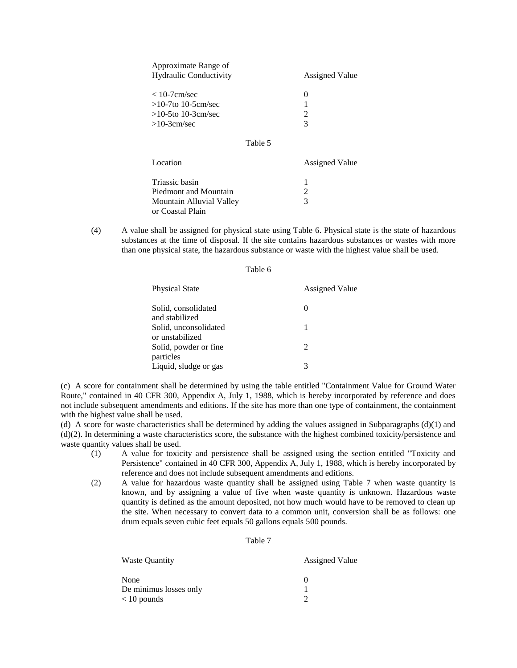| Approximate Range of          |                             |
|-------------------------------|-----------------------------|
| <b>Hydraulic Conductivity</b> | <b>Assigned Value</b>       |
| $< 10$ -7cm/sec               | $\theta$                    |
| $>10-7$ to 10-5cm/sec         |                             |
| $>10-5$ to 10-3cm/sec         | $\mathcal{D}_{\mathcal{A}}$ |
| $>10-3cm/sec$                 | 3                           |
|                               |                             |

## Table 5

| Location                 | <b>Assigned Value</b> |
|--------------------------|-----------------------|
| Triassic basin           |                       |
| Piedmont and Mountain    | 2                     |
| Mountain Alluvial Valley | $\mathbf{R}$          |
| or Coastal Plain         |                       |

(4) A value shall be assigned for physical state using Table 6. Physical state is the state of hazardous substances at the time of disposal. If the site contains hazardous substances or wastes with more than one physical state, the hazardous substance or waste with the highest value shall be used.

| Table 6                                  |                       |  |
|------------------------------------------|-----------------------|--|
| Physical State                           | <b>Assigned Value</b> |  |
| Solid, consolidated<br>and stabilized    | $\theta$              |  |
| Solid, unconsolidated<br>or unstabilized | 1                     |  |
| Solid, powder or fine<br>particles       | 2                     |  |
| Liquid, sludge or gas                    | 3                     |  |

(c) A score for containment shall be determined by using the table entitled "Containment Value for Ground Water Route," contained in 40 CFR 300, Appendix A, July 1, 1988, which is hereby incorporated by reference and does not include subsequent amendments and editions. If the site has more than one type of containment, the containment with the highest value shall be used.

(d) A score for waste characteristics shall be determined by adding the values assigned in Subparagraphs (d)(1) and  $(d)(2)$ . In determining a waste characteristics score, the substance with the highest combined toxicity/persistence and waste quantity values shall be used.

- (1) A value for toxicity and persistence shall be assigned using the section entitled "Toxicity and Persistence" contained in 40 CFR 300, Appendix A, July 1, 1988, which is hereby incorporated by reference and does not include subsequent amendments and editions.
- (2) A value for hazardous waste quantity shall be assigned using Table 7 when waste quantity is known, and by assigning a value of five when waste quantity is unknown. Hazardous waste quantity is defined as the amount deposited, not how much would have to be removed to clean up the site. When necessary to convert data to a common unit, conversion shall be as follows: one drum equals seven cubic feet equals 50 gallons equals 500 pounds.

#### Table 7

| <b>Waste Quantity</b>  | <b>Assigned Value</b> |
|------------------------|-----------------------|
| None                   |                       |
| De minimus losses only |                       |
| $< 10$ pounds          |                       |